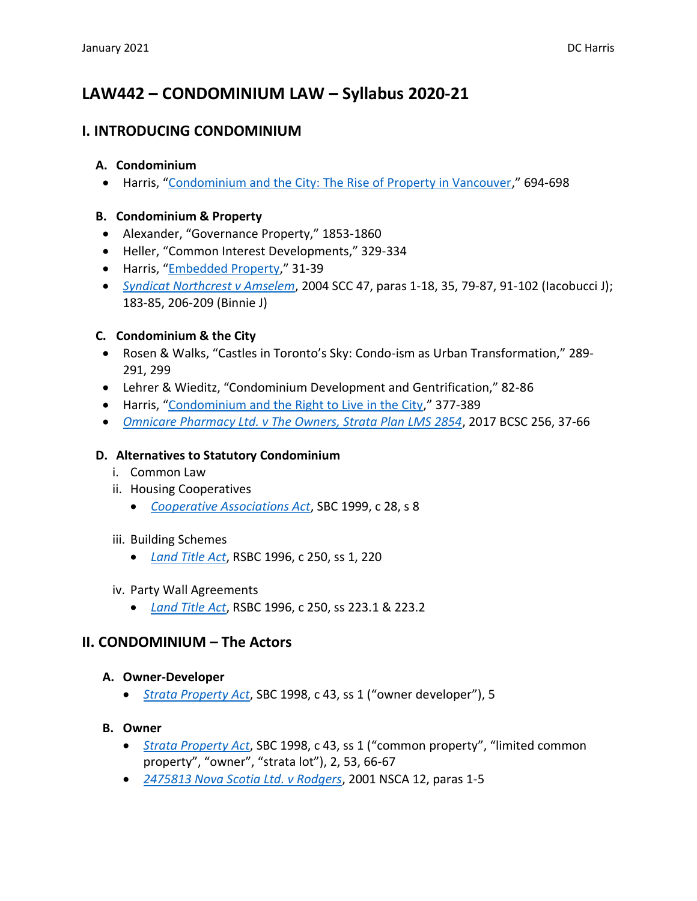# **LAW442 – CONDOMINIUM LAW – Syllabus 2020-21**

# **I. INTRODUCING CONDOMINIUM**

### **A. Condominium**

• Harris, "[Condominium and the City: The Rise of Property in Vancouver](https://www.cambridge.org/core/journals/law-and-social-inquiry/article/condominium-and-the-city-the-rise-of-property-in-vancouver/2187E80CDF4D2C2F3D35273F6C74B77C)," 694-698

### **B. Condominium & Property**

- Alexander, "Governance Property," 1853-1860
- Heller, "Common Interest Developments," 329-334
- Harris, "[Embedded Property](https://commons.allard.ubc.ca/fac_pubs/629/)," 31-39
- *[Syndicat Northcrest v Amselem](http://canlii.ca/t/1hddh)*, 2004 SCC 47, paras 1-18, 35, 79-87, 91-102 (Iacobucci J); 183-85, 206-209 (Binnie J)

### **C. Condominium & the City**

- Rosen & Walks, "Castles in Toronto's Sky: Condo-ism as Urban Transformation," 289- 291, 299
- Lehrer & Wieditz, "Condominium Development and Gentrification," 82-86
- Harris, "[Condominium and the Right to Live in the City](https://www.cambridge.org/core/journals/canadian-journal-of-law-and-society-la-revue-canadienne-droit-et-societe/article/condominium-government-and-the-right-to-live-in-the-city/960DCE1DCCA262B8040DD002A5637CA1)," 377-389
- *[Omnicare Pharmacy Ltd. v The Owners, Strata Plan LMS 2854](http://canlii.ca/t/gxlct)*, 2017 BCSC 256, 37-66

### **D. Alternatives to Statutory Condominium**

- i. Common Law
- ii. Housing Cooperatives
	- *[Cooperative Associations Act](http://www.bclaws.ca/civix/document/id/complete/statreg/99028_01)*, SBC 1999, c 28, s 8

#### iii. Building Schemes

- *[Land Title Act](http://www.bclaws.ca/EPLibraries/bclaws_new/document/ID/freeside/96250_00)*, RSBC 1996, c 250, ss 1, 220
- iv. Party Wall Agreements
	- *[Land Title Act](http://www.bclaws.ca/EPLibraries/bclaws_new/document/ID/freeside/96250_00)*, RSBC 1996, c 250, ss 223.1 & 223.2

### **II. CONDOMINIUM – The Actors**

#### **A. Owner-Developer**

• *[Strata Property Act](http://www.bclaws.ca/civix/document/id/complete/statreg/98043_00)*, SBC 1998, c 43, ss 1 ("owner developer"), 5

### **B. Owner**

- *[Strata Property Act](http://www.bclaws.ca/civix/document/id/complete/statreg/98043_00)*, SBC 1998, c 43, ss 1 ("common property", "limited common property", "owner", "strata lot"), 2, 53, 66-67
- *[2475813 Nova Scotia Ltd. v Rodgers](http://canlii.ca/t/4v6b)*, 2001 NSCA 12, paras 1-5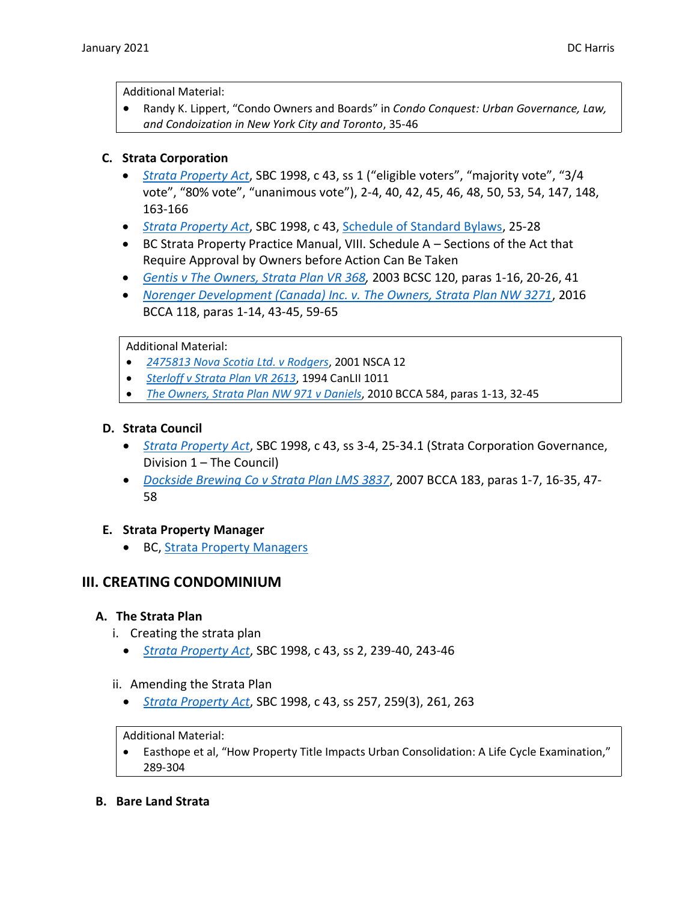Additional Material:

• Randy K. Lippert, "Condo Owners and Boards" in *Condo Conquest: Urban Governance, Law, and Condoization in New York City and Toronto*, 35-46

### **C. Strata Corporation**

- *[Strata Property Act](http://www.bclaws.ca/civix/document/id/complete/statreg/98043_00)*, SBC 1998, c 43, ss 1 ("eligible voters", "majority vote", "3/4 vote", "80% vote", "unanimous vote"), 2-4, 40, 42, 45, 46, 48, 50, 53, 54, 147, 148, 163-166
- *[Strata Property Act](http://www.bclaws.ca/civix/document/id/complete/statreg/98043_00)*, SBC 1998, c 43, [Schedule of Standard Bylaws,](https://www.bclaws.gov.bc.ca/civix/document/id/complete/statreg/98043_18) 25-28
- BC Strata Property Practice Manual, VIII. Schedule A Sections of the Act that Require Approval by Owners before Action Can Be Taken
- *[Gentis v The Owners, Strata Plan VR 368,](http://canlii.ca/t/5dz1)* 2003 BCSC 120, paras 1-16, 20-26, 41
- *[Norenger Development \(Canada\) Inc. v. The Owners, Strata Plan NW 3271](http://canlii.ca/t/gnq90)*, 2016 BCCA 118, paras 1-14, 43-45, 59-65

Additional Material:

- *[2475813 Nova Scotia Ltd. v Rodgers](http://canlii.ca/t/4v6b)*, 2001 NSCA 12
- *[Sterloff v Strata Plan VR 2613](http://canlii.ca/t/1dlhg)*, 1994 CanLII 1011
- *[The Owners, Strata Plan NW 971 v Daniels](http://canlii.ca/t/2f1c8)*, 2010 BCCA 584, paras 1-13, 32-45

### **D. Strata Council**

- *[Strata Property Act](http://www.bclaws.ca/civix/document/id/complete/statreg/98043_00)*, SBC 1998, c 43, ss 3-4, 25-34.1 (Strata Corporation Governance, Division 1 – The Council)
- *[Dockside Brewing Co v Strata Plan LMS 3837](http://canlii.ca/t/1qzns)*, 2007 BCCA 183, paras 1-7, 16-35, 47- 58

#### **E. Strata Property Manager**

• BC[, Strata Property Managers](https://www2.gov.bc.ca/gov/content/housing-tenancy/strata-housing/operating-a-strata/roles-and-responsibilities/strata-property-managers)

# **III. CREATING CONDOMINIUM**

#### **A. The Strata Plan**

- i. Creating the strata plan
	- *[Strata Property Act](http://www.bclaws.ca/civix/document/id/complete/statreg/98043_00)*, SBC 1998, c 43, ss 2, 239-40, 243-46
- ii. Amending the Strata Plan
	- *[Strata Property Act](http://www.bclaws.ca/civix/document/id/complete/statreg/98043_00)*, SBC 1998, c 43, ss 257, 259(3), 261, 263

#### Additional Material:

- Easthope et al, "How Property Title Impacts Urban Consolidation: A Life Cycle Examination," 289-304
- **B. Bare Land Strata**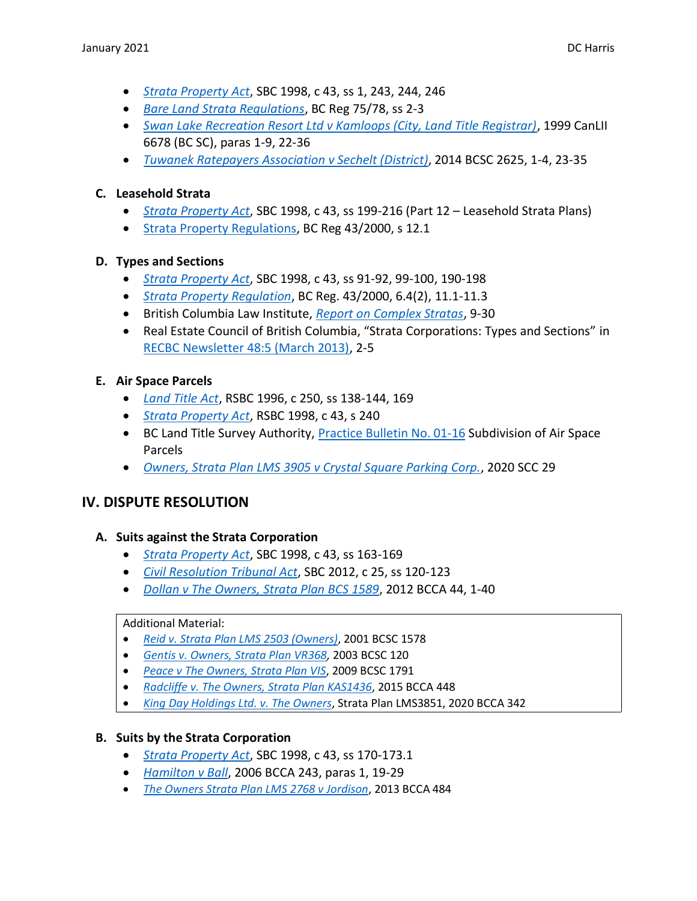- *[Strata Property Act](http://www.bclaws.ca/civix/document/id/complete/statreg/98043_00)*, SBC 1998, c 43, ss 1, 243, 244, 246
- *[Bare Land Strata Regulations](http://www.bclaws.ca/civix/document/id/complete/statreg/75_78)*, BC Reg 75/78, ss 2-3
- *[Swan Lake Recreation Resort Ltd v Kamloops \(City, Land Title Registrar\)](http://canlii.ca/t/1d2ff)*, 1999 CanLII 6678 (BC SC), paras 1-9, 22-36
- *[Tuwanek Ratepayers Association v Sechelt \(District\)](http://canlii.ca/t/gkq89)*, 2014 BCSC 2625, 1-4, 23-35

### **C. Leasehold Strata**

- *[Strata Property Act](http://www.bclaws.ca/civix/document/id/complete/statreg/98043_00)*, SBC 1998, c 43, ss 199-216 (Part 12 Leasehold Strata Plans)
- [Strata Property Regulations,](http://www.bclaws.ca/civix/document/id/complete/statreg/43_2000) BC Reg 43/2000, s 12.1

#### **D. Types and Sections**

- *[Strata Property Act](http://www.bclaws.ca/civix/document/id/complete/statreg/98043_00)*, SBC 1998, c 43, ss 91-92, 99-100, 190-198
- *[Strata Property Regulation](http://www.bclaws.ca/civix/document/id/complete/statreg/12_43_2000)*, BC Reg. 43/2000, 6.4(2), 11.1-11.3
- British Columbia Law Institute, *[Report on Complex Stratas](https://www.bcli.org/wordpress/wp-content/uploads/2017/06/2017-06-19_BCLI-SPL-Ph2-Report-on-Complex-Stratas-FINAL.pdf)*, 9-30
- Real Estate Council of British Columbia, "Strata Corporations: Types and Sections" in [RECBC Newsletter 48:5 \(March 2013\),](https://www.recbc.ca/about-us/media/newsletters/march-2013-special-report-council#strata-corporations-types-and-sections) 2-5

### **E. Air Space Parcels**

- *[Land Title Act](http://www.bclaws.ca/civix/document/id/complete/statreg/96250_00)*, RSBC 1996, c 250, ss 138-144, 169
- *[Strata Property Act](http://www.bclaws.ca/civix/document/id/complete/statreg/98043_00)*, RSBC 1998, c 43, s 240
- BC Land Title Survey Authority, [Practice Bulletin No. 01-16](https://ltsa.ca/sites/default/files/Practice%20Bulletin%2001-16.pdf) Subdivision of Air Space Parcels
- *[Owners, Strata Plan LMS 3905 v Crystal Square Parking Corp.](http://canlii.ca/t/jb62z)*, 2020 SCC 29

### **IV. DISPUTE RESOLUTION**

#### **A. Suits against the Strata Corporation**

- *[Strata Property Act](http://www.bclaws.ca/civix/document/id/complete/statreg/98043_00)*, SBC 1998, c 43, ss 163-169
- *[Civil Resolution Tribunal Act](http://www.bclaws.ca/civix/document/id/complete/statreg/12025_01)*, SBC 2012, c 25, ss 120-123
- *[Dollan v The Owners, Strata Plan BCS 1589](http://canlii.ca/t/fpssr)*, 2012 BCCA 44, 1-40

#### Additional Material:

- *[Reid v. Strata Plan LMS 2503 \(Owners\)](http://canlii.ca/t/4wmn)*, 2001 BCSC 1578
- *[Gentis v. Owners, Strata Plan VR368,](http://canlii.ca/t/5dz1)* 2003 BCSC 120
- *[Peace v The Owners, Strata Plan VIS](http://canlii.ca/t/27527)*, 2009 BCSC 1791
- *[Radcliffe v. The Owners, Strata Plan KAS1436](http://canlii.ca/t/glt06)*, 2015 BCCA 448
- *[King Day Holdings Ltd. v. The Owners](http://canlii.ca/t/jbvfc)*, Strata Plan LMS3851, 2020 BCCA 342

#### **B. Suits by the Strata Corporation**

- *[Strata Property Act](http://www.bclaws.ca/civix/document/id/complete/statreg/98043_00)*, SBC 1998, c 43, ss 170-173.1
- *[Hamilton v Ball](http://canlii.ca/t/1n988)*, 2006 BCCA 243, paras 1, 19-29
- *[The Owners Strata Plan LMS 2768 v Jordison](http://canlii.ca/t/g1shj)*, 2013 BCCA 484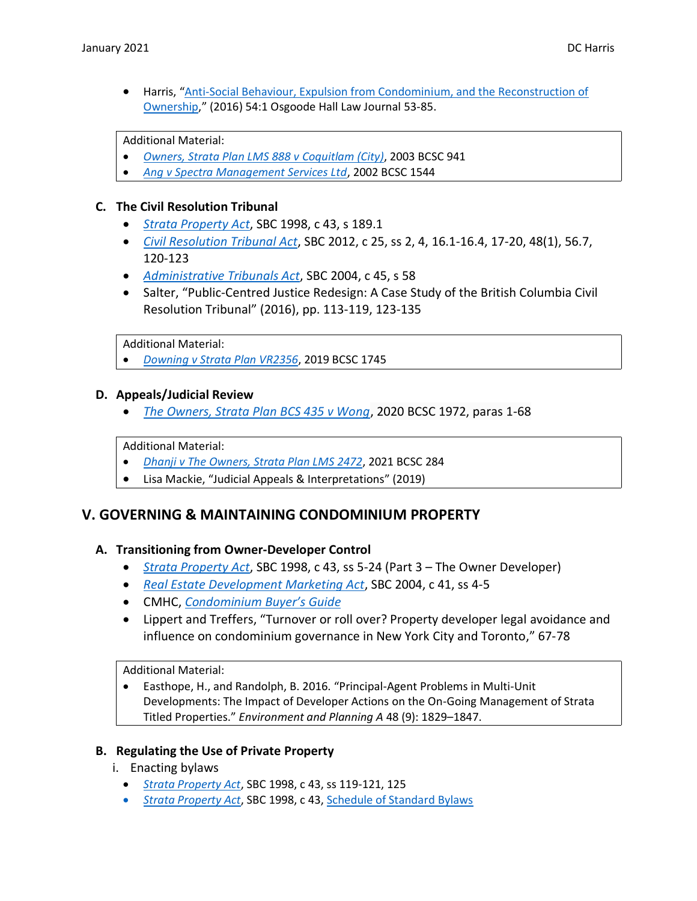• Harris, "[Anti-Social Behaviour, Expulsion from Condominium, and the Reconstruction of](https://commons.allard.ubc.ca/fac_pubs/185/)  [Ownership](https://commons.allard.ubc.ca/fac_pubs/185/)," (2016) 54:1 Osgoode Hall Law Journal 53-85.

Additional Material:

- *[Owners, Strata Plan LMS 888 v Coquitlam \(City\)](http://canlii.ca/t/58s0)*, 2003 BCSC 941
- *[Ang v Spectra Management Services Ltd](http://canlii.ca/t/5gdb)*, 2002 BCSC 1544

#### **C. The Civil Resolution Tribunal**

- *[Strata Property Act](http://www.bclaws.ca/civix/document/id/complete/statreg/98043_00)*, SBC 1998, c 43, s 189.1
- *[Civil Resolution Tribunal Act](http://www.bclaws.ca/civix/document/id/complete/statreg/12025_01)*, SBC 2012, c 25, ss 2, 4, 16.1-16.4, 17-20, 48(1), 56.7, 120-123
- *[Administrative Tribunals Act](http://www.bclaws.ca/civix/document/id/complete/statreg/04045_01)*, SBC 2004, c 45, s 58
- Salter, "Public-Centred Justice Redesign: A Case Study of the British Columbia Civil Resolution Tribunal" (2016), pp. 113-119, 123-135

Additional Material:

• *[Downing v Strata Plan VR2356](http://canlii.ca/t/j2t3n)*, 2019 BCSC 1745

#### **D. Appeals/Judicial Review**

• *[The Owners, Strata Plan BCS 435 v Wong](https://canlii.ca/t/jc4m0)*, 2020 BCSC 1972, paras 1-68

Additional Material:

- *[Dhanji v The Owners, Strata Plan LMS 2472](https://canlii.ca/t/jddjc)*, 2021 BCSC 284
- Lisa Mackie, "Judicial Appeals & Interpretations" (2019)

### **V. GOVERNING & MAINTAINING CONDOMINIUM PROPERTY**

#### **A. Transitioning from Owner-Developer Control**

- *[Strata Property Act](http://www.bclaws.ca/civix/document/id/complete/statreg/98043_00)*, SBC 1998, c 43, ss 5-24 (Part 3 The Owner Developer)
- *[Real Estate Development Marketing Act](http://www.bclaws.ca/civix/document/id/complete/statreg/04041_01)*, SBC 2004, c 41, ss 4-5
- CMHC, *[Condominium Buyer's Guide](https://www.cmhc-schl.gc.ca/en/buying/condominium-buyers-guide)*
- Lippert and Treffers, "Turnover or roll over? Property developer legal avoidance and influence on condominium governance in New York City and Toronto," 67-78

Additional Material:

• Easthope, H., and Randolph, B. 2016. "Principal-Agent Problems in Multi-Unit Developments: The Impact of Developer Actions on the On-Going Management of Strata Titled Properties." *Environment and Planning A* 48 (9): 1829–1847.

#### **B. Regulating the Use of Private Property**

i. Enacting bylaws

- *[Strata Property Act](http://www.bclaws.ca/civix/document/id/complete/statreg/98043_00)*, SBC 1998, c 43, ss 119-121, 125
- *[Strata Property Act](http://www.bclaws.ca/civix/document/id/complete/statreg/98043_00)*, SBC 1998, c 43, [Schedule of Standard Bylaws](http://www.bclaws.ca/civix/document/LOC/complete/statreg/--%20S%20--/Strata%20Property%20Act%20%5BSBC%201998%5D%20c.%2043/00_Act/98043_18.xml#ScheduleofStandardBylaws)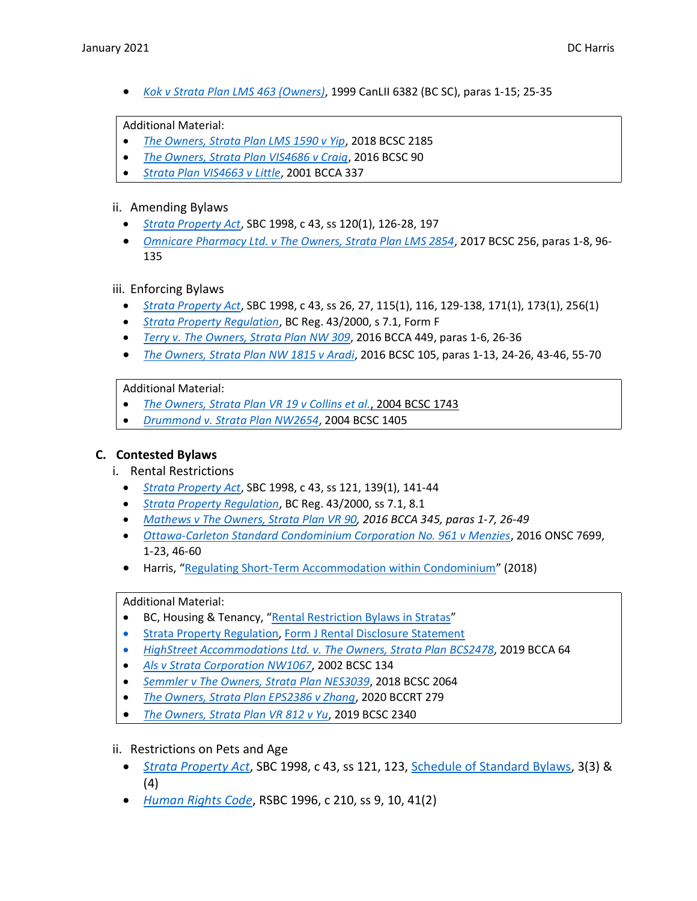• *[Kok v Strata Plan LMS 463 \(Owners\)](http://canlii.ca/t/1d2kj)*, 1999 CanLII 6382 (BC SC), paras 1-15; 25-35

#### Additional Material:

- *[The Owners, Strata Plan LMS 1590 v Yip](http://canlii.ca/t/hwj4w)*, 2018 BCSC 2185
- *[The Owners, Strata Plan VIS4686 v Craig](http://canlii.ca/t/gn23h)*, 2016 BCSC 90
- *[Strata Plan VIS4663 v Little](http://canlii.ca/t/4zcf)*, 2001 BCCA 337

#### ii. Amending Bylaws

- *[Strata Property Act](http://www.bclaws.ca/civix/document/id/complete/statreg/98043_00)*, SBC 1998, c 43, ss 120(1), 126-28, 197
- *[Omnicare Pharmacy Ltd. v The Owners, Strata Plan LMS 2854](http://canlii.ca/t/gxlct)*, 2017 BCSC 256, paras 1-8, 96- 135

#### iii. Enforcing Bylaws

- *[Strata Property Act](http://www.bclaws.ca/civix/document/id/complete/statreg/98043_00)*, SBC 1998, c 43, ss 26, 27, 115(1), 116, 129-138, 171(1), 173(1), 256(1)
- *[Strata Property Regulation](http://www.bclaws.ca/civix/document/id/complete/statreg/12_43_2000)*, BC Reg. 43/2000, s 7.1, Form F
- *[Terry v. The Owners, Strata Plan NW 309](http://canlii.ca/t/gvm9f)*, 2016 BCCA 449, paras 1-6, 26-36
- *[The Owners, Strata Plan NW 1815 v Aradi](http://canlii.ca/t/gn2qk)*, 2016 BCSC 105, paras 1-13, 24-26, 43-46, 55-70

#### Additional Material:

- *[The Owners, Strata Plan VR 19 v Collins et al.](http://canlii.ca/t/1jk9f)*, 2004 BCSC 1743
- *[Drummond v. Strata Plan NW2654](http://canlii.ca/t/1j2bm)*, 2004 BCSC 1405

#### **C. Contested Bylaws**

- i. Rental Restrictions
	- *[Strata Property Act](http://www.bclaws.ca/civix/document/id/complete/statreg/98043_00)*, SBC 1998, c 43, ss 121, 139(1), 141-44
	- *[Strata Property Regulation](http://www.bclaws.ca/civix/document/id/complete/statreg/12_43_2000)*, BC Reg. 43/2000, ss 7.1, 8.1
	- *[Mathews v The Owners, Strata Plan VR 90,](http://canlii.ca/t/gssp9) 2016 BCCA 345, paras 1-7, 26-49*
	- *[Ottawa-Carleton Standard Condominium Corporation No. 961 v Menzies](http://canlii.ca/t/gvzwx)*, 2016 ONSC 7699, 1-23, 46-60
	- Harris, "[Regulating Short-Term Accommodation within Condominium](https://commons.allard.ubc.ca/fac_pubs/471/)" (2018)

#### Additional Material:

- BC, Housing & Tenancy, "[Rental Restriction Bylaws in Stratas](http://www2.gov.bc.ca/gov/content/housing-tenancy/strata-housing/operating-a-strata/bylaws-and-rules/rental-restriction-bylaws)"
- [Strata Property Regulation,](http://www.bclaws.ca/civix/document/id/complete/statreg/43_2000) [Form J Rental Disclosure Statement](https://www.bclaws.gov.bc.ca/civix/document/id/complete/statreg/43_2000#FormJ)
- *[HighStreet Accommodations Ltd. v. The Owners, Strata Plan BCS2478](http://canlii.ca/t/hxmf5)*, 2019 BCCA 64
- *[Als v Strata Corporation NW1067](http://canlii.ca/t/4wbk)*, 2002 BCSC 134
- *[Semmler v The Owners, Strata Plan NES3039](https://canlii.ca/t/hw807)*, 2018 BCSC 2064
- *[The Owners, Strata Plan EPS2386 v Zhang](https://canlii.ca/t/j5smc)*, 2020 BCCRT 279
- *[The Owners, Strata Plan VR 812 v Yu](https://canlii.ca/t/j5bxh)*, 2019 BCSC 2340

#### ii. Restrictions on Pets and Age

- *[Strata Property Act](http://www.bclaws.ca/civix/document/id/complete/statreg/98043_00)*, SBC 1998, c 43, ss 121, 123, [Schedule of Standard Bylaws,](http://www.bclaws.ca/civix/document/LOC/complete/statreg/--%20S%20--/Strata%20Property%20Act%20%5BSBC%201998%5D%20c.%2043/00_Act/98043_18.xml#ScheduleofStandardBylaws) 3(3) & (4)
- *[Human Rights Code](http://www.bclaws.ca/civix/document/id/complete/statreg/96210_01)*, RSBC 1996, c 210, ss 9, 10, 41(2)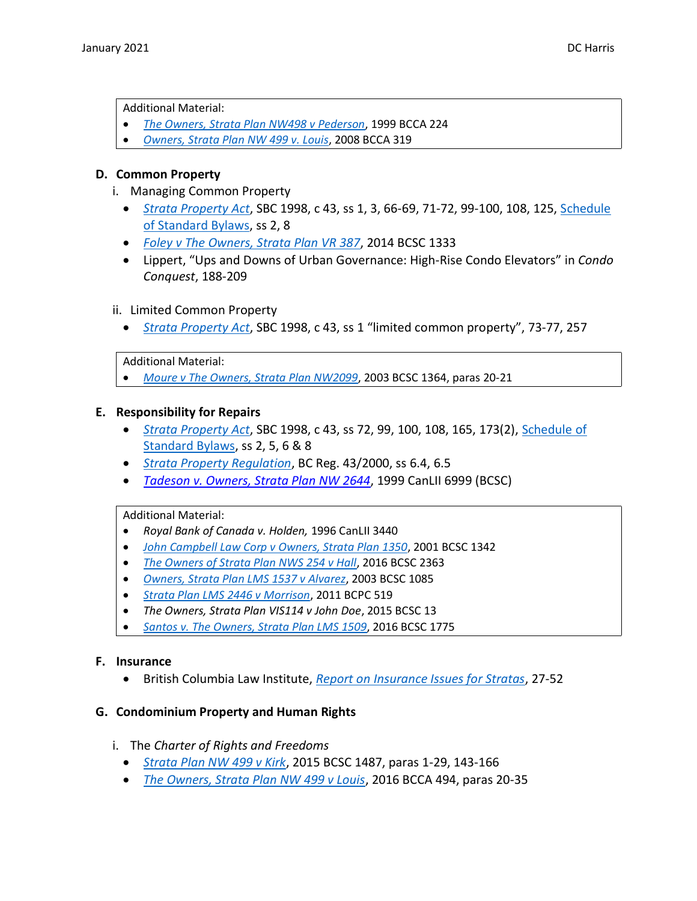Additional Material:

- *[The Owners, Strata Plan NW498 v Pederson](http://canlii.ca/t/54jk)*, 1999 BCCA 224
- *[Owners, Strata Plan NW 499 v. Louis](http://canlii.ca/t/24s2j)*, 2008 BCCA 319

#### **D. Common Property**

- i. Managing Common Property
	- *[Strata Property Act](http://www.bclaws.ca/civix/document/id/complete/statreg/98043_00)*, SBC 1998, c 43, ss 1, 3, 66-69, 71-72, 99-100, 108, 125, [Schedule](http://www.bclaws.ca/civix/document/LOC/complete/statreg/--%20S%20--/Strata%20Property%20Act%20%5BSBC%201998%5D%20c.%2043/00_Act/98043_18.xml#ScheduleofStandardBylaws)  [of Standard Bylaws,](http://www.bclaws.ca/civix/document/LOC/complete/statreg/--%20S%20--/Strata%20Property%20Act%20%5BSBC%201998%5D%20c.%2043/00_Act/98043_18.xml#ScheduleofStandardBylaws) ss 2, 8
	- *[Foley v The Owners, Strata Plan VR 387](http://canlii.ca/t/g83sc)*, 2014 BCSC 1333
	- Lippert, "Ups and Downs of Urban Governance: High-Rise Condo Elevators" in *Condo Conquest*, 188-209

#### ii. Limited Common Property

• *[Strata Property Act](http://www.bclaws.ca/civix/document/id/complete/statreg/98043_00)*, SBC 1998, c 43, ss 1 "limited common property", 73-77, 257

#### Additional Material:

• *[Moure v The Owners, Strata Plan NW2099](http://canlii.ca/t/5692)*, 2003 BCSC 1364, paras 20-21

#### **E. Responsibility for Repairs**

- *[Strata Property Act](http://www.bclaws.ca/civix/document/id/complete/statreg/98043_00)*, SBC 1998, c 43, ss 72, 99, 100, 108, 165, 173(2), [Schedule of](http://www.bclaws.ca/civix/document/LOC/complete/statreg/--%20S%20--/Strata%20Property%20Act%20%5BSBC%201998%5D%20c.%2043/00_Act/98043_18.xml#ScheduleofStandardBylaws)  [Standard Bylaws,](http://www.bclaws.ca/civix/document/LOC/complete/statreg/--%20S%20--/Strata%20Property%20Act%20%5BSBC%201998%5D%20c.%2043/00_Act/98043_18.xml#ScheduleofStandardBylaws) ss 2, 5, 6 & 8
- *[Strata Property Regulation](http://www.bclaws.ca/civix/document/id/complete/statreg/12_43_2000)*, BC Reg. 43/2000, ss 6.4, 6.5
- *[Tadeson v. Owners, Strata Plan NW 2644](http://canlii.ca/t/1d2x0)*, 1999 CanLII 6999 (BCSC)

#### Additional Material:

- *Royal Bank of Canada v. Holden,* 1996 CanLII 3440
- *[John Campbell Law Corp v Owners, Strata Plan 1350](http://canlii.ca/t/5884)*, 2001 BCSC 1342
- *[The Owners of Strata Plan NWS 254 v Hall](https://canlii.ca/t/gwhmd)*, 2016 BCSC 2363
- *[Owners, Strata Plan LMS 1537 v Alvarez](http://canlii.ca/t/57p4)*, 2003 BCSC 1085
- *[Strata Plan LMS 2446 v Morrison](https://canlii.ca/t/ghj52)*, 2011 BCPC 519
- *The Owners, Strata Plan VIS114 v John Doe*, 2015 BCSC 13
- *[Santos v. The Owners, Strata Plan LMS 1509](http://canlii.ca/t/gtwcl)*, 2016 BCSC 1775

#### **F. Insurance**

• British Columbia Law Institute, *[Report on Insurance Issues for Stratas](https://www.bcli.org/publication/report-on-insurance-issues-for-stratas)*, 27-52

#### **G. Condominium Property and Human Rights**

- i. The *Charter of Rights and Freedoms*
	- *[Strata Plan NW 499 v Kirk](http://canlii.ca/t/gkvlk)*, 2015 BCSC 1487, paras 1-29, 143-166
	- *[The Owners, Strata Plan NW 499 v Louis](http://canlii.ca/t/gvxrd)*, 2016 BCCA 494, paras 20-35